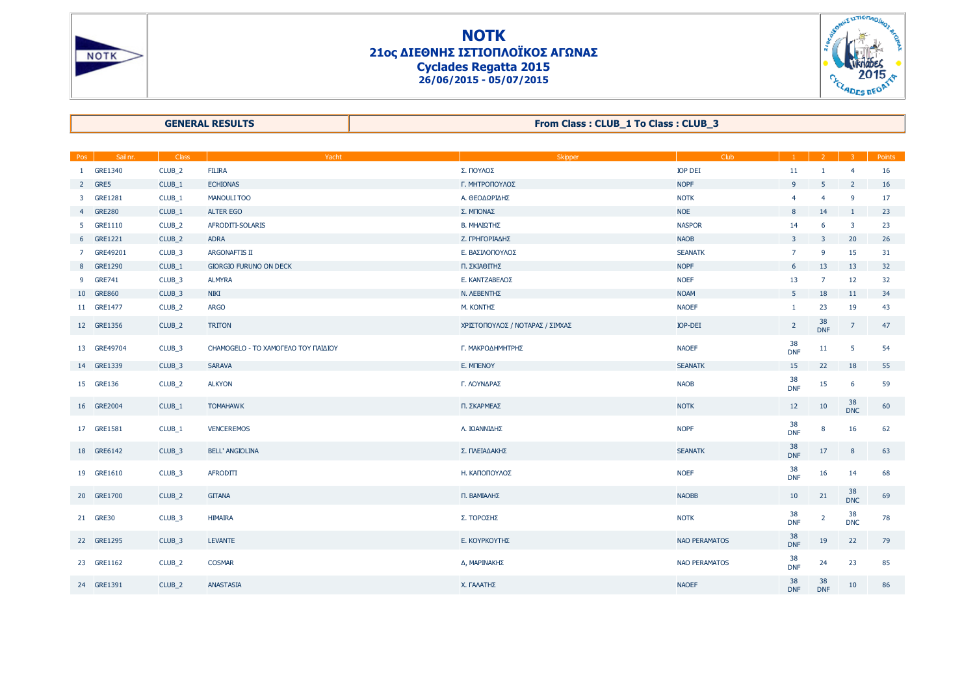



**GENERAL RESULTS**

**From Class : CLUB\_1 To Class : CLUB\_3**

| Pos            | Sail nr.       | Class             | Yacht                               | Skipper                         | Club                 |                  | $\overline{2}$          | $\overline{3}$   | Points |
|----------------|----------------|-------------------|-------------------------------------|---------------------------------|----------------------|------------------|-------------------------|------------------|--------|
| $\mathbf{1}$   | GRE1340        | CLUB_2            | <b>FILIRA</b>                       | Σ. ΠΟΥΛΟΣ                       | <b>IOP DEI</b>       | 11               | $\mathbf{1}$            | $\overline{4}$   | 16     |
| $2^{\circ}$    | GRE5           | CLUB_1            | <b>ECHIONAS</b>                     | Γ. ΜΗΤΡΟΠΟΥΛΟΣ                  | <b>NOPF</b>          | 9                | 5                       | $\overline{2}$   | 16     |
| $\mathbf{3}$   | <b>GRE1281</b> | CLUB_1            | <b>MANOULI TOO</b>                  | Α. ΘΕΟΔΩΡΙΔΗΣ                   | <b>NOTK</b>          | $\overline{4}$   | $\overline{4}$          | 9                | 17     |
| $4^{\circ}$    | <b>GRE280</b>  | CLUB_1            | <b>ALTER EGO</b>                    | Σ. ΜΠΟΝΑΣ                       | <b>NOE</b>           | 8                | 14                      | $\mathbf{1}$     | 23     |
| 5              | GRE1110        | CLUB_2            | AFRODITI-SOLARIS                    | Β. ΜΗΛΙΩΤΗΣ                     | <b>NASPOR</b>        | 14               | 6                       | $\mathbf{3}$     | 23     |
| 6 <sup>1</sup> | GRE1221        | CLUB_2            | <b>ADRA</b>                         | Ζ. ΓΡΗΓΟΡΙΑΔΗΣ                  | <b>NAOB</b>          | 3 <sup>7</sup>   | $\overline{\mathbf{3}}$ | 20               | 26     |
| 7 <sup>7</sup> | GRE49201       | CLUB_3            | ARGONAFTIS II                       | Ε. ΒΑΣΙΛΟΠΟΥΛΟΣ                 | <b>SEANATK</b>       | $\overline{7}$   | 9                       | 15               | 31     |
| 8              | GRE1290        | CLUB_1            | <b>GIORGIO FURUNO ON DECK</b>       | Π. ΣΚΙΑΘΙΤΗΣ                    | <b>NOPF</b>          | 6                | 13                      | 13               | 32     |
| 9              | <b>GRE741</b>  | CLUB_3            | <b>ALMYRA</b>                       | Ε. ΚΑΝΤΖΑΒΕΛΟΣ                  | <b>NOEF</b>          | 13               | $\overline{7}$          | 12               | 32     |
|                | 10 GRE860      | CLUB_3            | <b>NIKI</b>                         | <b>Ν. ΛΕΒΕΝΤΗΣ</b>              | <b>NOAM</b>          | $5 -$            | 18                      | 11               | 34     |
|                | 11 GRE1477     | CLUB_2            | <b>ARGO</b>                         | M. KONTHE                       | <b>NAOEF</b>         | $\mathbf{1}$     | 23                      | 19               | 43     |
|                | 12 GRE1356     | CLUB_2            | <b>TRITON</b>                       | ΧΡΙΣΤΟΠΟΥΛΟΣ / ΝΟΤΑΡΑΣ / ΣΙΜΧΑΣ | <b>IOP-DEI</b>       | $\overline{2}$   | 38<br><b>DNF</b>        | $\overline{7}$   | 47     |
|                | 13 GRE49704    | CLUB_3            | CHAMOGELO - ΤΟ ΧΑΜΟΓΕΛΟ ΤΟΥ ΠΑΙΔΙΟΥ | Γ. ΜΑΚΡΟΔΗΜΗΤΡΗΣ                | <b>NAOEF</b>         | 38<br><b>DNF</b> | 11                      | 5                | 54     |
|                | 14 GRE1339     | CLUB_3            | <b>SARAVA</b>                       | E. MITENOY                      | <b>SEANATK</b>       | 15               | 22                      | 18               | 55     |
|                | 15 GRE136      | CLUB_2            | <b>ALKYON</b>                       | Γ. ΛΟΥΝΔΡΑΣ                     | <b>NAOB</b>          | 38<br><b>DNF</b> | 15                      | 6                | 59     |
|                | 16 GRE2004     | CLUB_1            | <b>TOMAHAWK</b>                     | Π. ΣΚΑΡΜΕΑΣ                     | <b>NOTK</b>          | 12               | 10                      | 38<br><b>DNC</b> | 60     |
|                | 17 GRE1581     | CLUB_1            | <b>VENCEREMOS</b>                   | Λ. ΙΩΑΝΝΙΔΗΣ                    | <b>NOPF</b>          | 38<br><b>DNF</b> | 8                       | 16               | 62     |
|                | 18 GRE6142     | CLUB_3            | <b>BELL' ANGIOLINA</b>              | Σ. ΠΛΕΙΑΔΑΚΗΣ                   | <b>SEANATK</b>       | 38<br><b>DNF</b> | 17                      | 8                | 63     |
|                | 19 GRE1610     | CLUB_3            | AFRODITI                            | Η. ΚΑΠΟΠΟΥΛΟΣ                   | <b>NOEF</b>          | 38<br><b>DNF</b> | 16                      | 14               | 68     |
|                | 20 GRE1700     | CLUB_2            | <b>GITANA</b>                       | Π. ΒΑΜΙΑΛΗΣ                     | <b>NAOBB</b>         | 10               | 21                      | 38<br><b>DNC</b> | 69     |
|                | 21 GRE30       | CLUB_3            | <b>HIMAIRA</b>                      | Σ. ΤΟΡΟΣΗΣ                      | <b>NOTK</b>          | 38<br><b>DNF</b> | $\overline{2}$          | 38<br><b>DNC</b> | 78     |
|                | 22 GRE1295     | CLUB_3            | <b>LEVANTE</b>                      | Ε. ΚΟΥΡΚΟΥΤΗΣ                   | <b>NAO PERAMATOS</b> | 38<br><b>DNF</b> | 19                      | 22               | 79     |
|                | 23 GRE1162     | CLUB <sub>2</sub> | <b>COSMAR</b>                       | Δ, ΜΑΡΙΝΑΚΗΣ                    | <b>NAO PERAMATOS</b> | 38<br><b>DNF</b> | 24                      | 23               | 85     |
|                | 24 GRE1391     | CLUB_2            | <b>ANASTASIA</b>                    | Χ. ΓΑΛΑΤΗΣ                      | <b>NAOEF</b>         | 38<br><b>DNF</b> | 38<br><b>DNF</b>        | 10               | 86     |